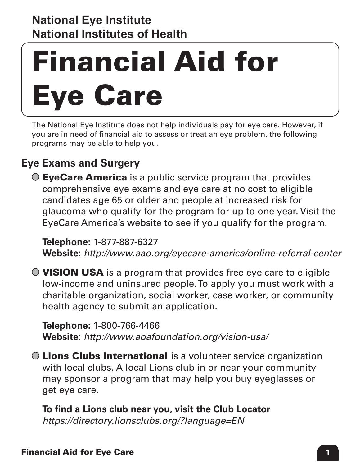### **National Institutes of Health National Eye Institute National Eye Institute**

# Financial Aid for Eye Care

The National Eye Institute does not help individuals pay for eye care. However, if you are in need of financial aid to assess or treat an eye problem, the following programs may be able to help you.

## **Eye Exams and Surgery**

 $\odot$  EyeCare America is a public service program that provides comprehensive eye exams and eye care at no cost to eligible candidates age 65 or older and people at increased risk for glaucoma who qualify for the program for up to one year. Visit the EyeCare America's website to see if you qualify for the program.

## **Telephone:** 1-877-887-6327

**Website:** *<http://www.aao.org/eyecare-america/online-referral-center>*

 $\bullet$  VISION USA is a program that provides free eye care to eligible low-income and uninsured people. To apply you must work with a charitable organization, social worker, case worker, or community health agency to submit an application.

 **Telephone:** 1-800-766-4466 **Website:** *<http://www.aoafoundation.org/vision-usa/>*

Lions Clubs International is a volunteer service organization with local clubs. A local Lions club in or near your community may sponsor a program that may help you buy eyeglasses or get eye care.

**To find a Lions club near you, visit the Club Locator**  *<https://directory.lionsclubs.org/?language=EN>*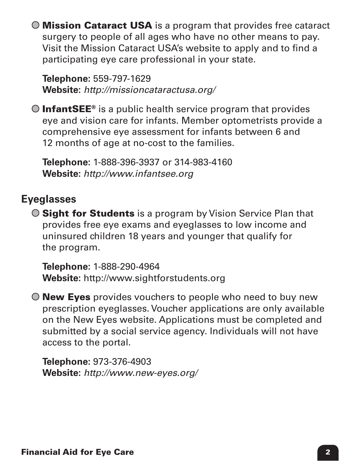Mission Cataract USA is a program that provides free cataract surgery to people of all ages who have no other means to pay. Visit the Mission Cataract USA's website to apply and to find a participating eye care professional in your state.

 **Telephone:** 559-797-1629 **Website:** *<http://missioncataractusa.org/>*

 $\bigcirc$  InfantSEE<sup>®</sup> is a public health service program that provides eye and vision care for infants. Member optometrists provide a comprehensive eye assessment for infants between 6 and 12 months of age at no-cost to the families.

**Telephone:** 1-888-396-3937 or 314-983-4160 **Website:** *<http://www.infantsee.org>*

## **Eyeglasses**

**O Sight for Students** is a program by Vision Service Plan that provides free eye exams and eyeglasses to low income and uninsured children 18 years and younger that qualify for the program.

 **Telephone:** 1-888-290-4964 **Website:** <http://www.sightforstudents.org>

 $\bigcirc$  **New Eyes** provides vouchers to people who need to buy new prescription eyeglasses. Voucher applications are only available on the New Eyes website. Applications must be completed and submitted by a social service agency. Individuals will not have access to the portal.

**Telephone:** 973-376-4903 **Website:** *<http://www.new-eyes.org/>*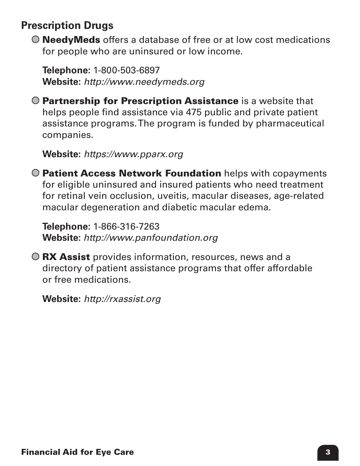## **Prescription Drugs**

 $\odot$  **NeedyMeds** offers a database of free or at low cost medications for people who are uninsured or low income.

**Telephone:** 1-800-503-6897 **Website:** *<http://www.needymeds.org>*

**O Partnership for Prescription Assistance** is a website that helps people find assistance via 475 public and private patient assistance programs. The program is funded by pharmaceutical companies.

 **Website:** *<https://www.pparx.org>*

**O Patient Access Network Foundation** helps with copayments for eligible uninsured and insured patients who need treatment for retinal vein occlusion, uveitis, macular diseases, age-related macular degeneration and diabetic macular edema.

**Telephone:** 1-866-316-7263 **Website:** *<http://www.panfoundation.org>*

**O RX Assist** provides information, resources, news and a directory of patient assistance programs that offer affordable or free medications.

**Website:** *<http://rxassist.org>*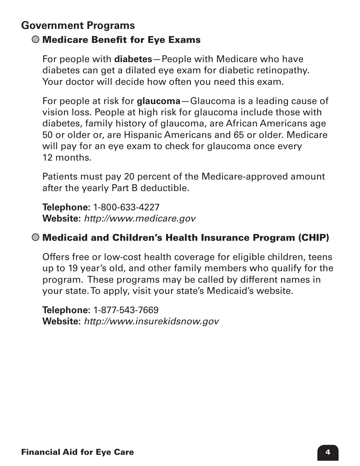# **Government Programs**

## Medicare Benefit for Eye Exams

For people with **diabetes**—People with Medicare who have diabetes can get a dilated eye exam for diabetic retinopathy. Your doctor will decide how often you need this exam.

For people at risk for **glaucoma**—Glaucoma is a leading cause of vision loss. People at high risk for glaucoma include those with diabetes, family history of glaucoma, are African Americans age 50 or older or, are Hispanic Americans and 65 or older. Medicare will pay for an eye exam to check for glaucoma once every 12 months.

Patients must pay 20 percent of the Medicare-approved amount after the yearly Part B deductible.

**Telephone:** 1-800-633-4227 **Website:** *<http://www.medicare.gov>*

## Medicaid and Children's Health Insurance Program (CHIP)

Offers free or low-cost health coverage for eligible children, teens up to 19 year's old, and other family members who qualify for the program. These programs may be called by different names in your state. To apply, visit your state's Medicaid's website.

 **Telephone:** 1-877-543-7669 **Website:** *<http://www.insurekidsnow.gov>*